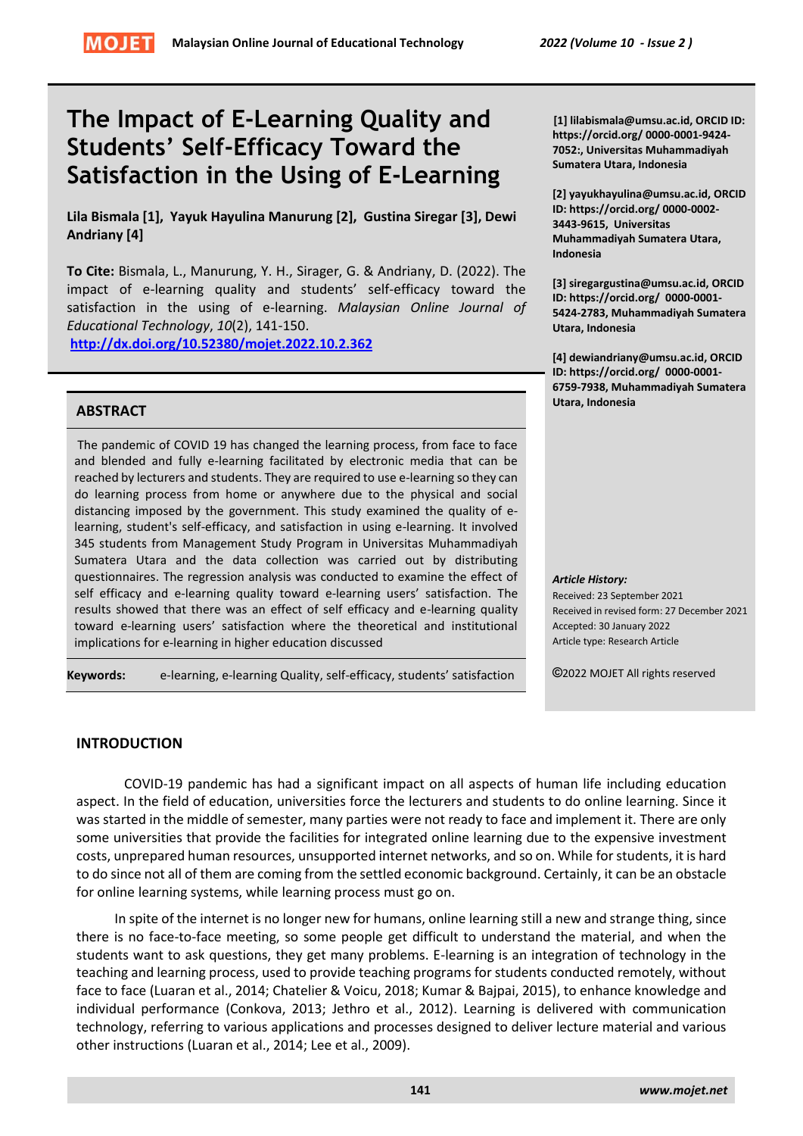# **The Impact of E-Learning Quality and Students' Self-Efficacy Toward the Satisfaction in the Using of E-Learning**

**Lila Bismala [1], Yayuk Hayulina Manurung [2], Gustina Siregar [3], Dewi Andriany [4]**

**To Cite:** Bismala, L., Manurung, Y. H., Sirager, G. & Andriany, D. (2022). The impact of e-learning quality and students' self-efficacy toward the satisfaction in the using of e-learning. *Malaysian Online Journal of Educational Technology*, *10*(2), 141-150.

**<http://dx.doi.org/10.52380/mojet.2022.10.2.362>**

## **ABSTRACT**

The pandemic of COVID 19 has changed the learning process, from face to face and blended and fully e-learning facilitated by electronic media that can be reached by lecturers and students. They are required to use e-learning so they can do learning process from home or anywhere due to the physical and social distancing imposed by the government. This study examined the quality of elearning, student's self-efficacy, and satisfaction in using e-learning. It involved 345 students from Management Study Program in Universitas Muhammadiyah Sumatera Utara and the data collection was carried out by distributing questionnaires. The regression analysis was conducted to examine the effect of self efficacy and e-learning quality toward e-learning users' satisfaction. The results showed that there was an effect of self efficacy and e-learning quality toward e-learning users' satisfaction where the theoretical and institutional implications for e-learning in higher education discussed

**Keywords:** e-learning, e-learning Quality, self-efficacy, students' satisfaction

**[1] lilabismala@umsu.ac.id, ORCID ID: https://orcid.org/ 0000-0001-9424- 7052:, Universitas Muhammadiyah Sumatera Utara, Indonesia**

**[2] yayukhayulina@umsu.ac.id, ORCID ID: https://orcid.org/ 0000-0002- 3443-9615, Universitas Muhammadiyah Sumatera Utara, Indonesia**

**[3] siregargustina@umsu.ac.id, ORCID ID: https://orcid.org/ 0000-0001- 5424-2783, Muhammadiyah Sumatera Utara, Indonesia**

**[4] dewiandriany@umsu.ac.id, ORCID ID: https://orcid.org/ 0000-0001- 6759-7938, Muhammadiyah Sumatera Utara, Indonesia**

*Article History:*

Received: 23 September 2021 Received in revised form: 27 December 2021 Accepted: 30 January 2022 Article type: Research Article

**©**2022 MOJET All rights reserved

# **INTRODUCTION**

COVID-19 pandemic has had a significant impact on all aspects of human life including education aspect. In the field of education, universities force the lecturers and students to do online learning. Since it was started in the middle of semester, many parties were not ready to face and implement it. There are only some universities that provide the facilities for integrated online learning due to the expensive investment costs, unprepared human resources, unsupported internet networks, and so on. While for students, it is hard to do since not all of them are coming from the settled economic background. Certainly, it can be an obstacle for online learning systems, while learning process must go on.

In spite of the internet is no longer new for humans, online learning still a new and strange thing, since there is no face-to-face meeting, so some people get difficult to understand the material, and when the students want to ask questions, they get many problems. E-learning is an integration of technology in the teaching and learning process, used to provide teaching programs for students conducted remotely, without face to face (Luaran et al., 2014; Chatelier & Voicu, 2018; Kumar & Bajpai, 2015), to enhance knowledge and individual performance (Conkova, 2013; Jethro et al., 2012). Learning is delivered with communication technology, referring to various applications and processes designed to deliver lecture material and various other instructions (Luaran et al., 2014; Lee et al., 2009).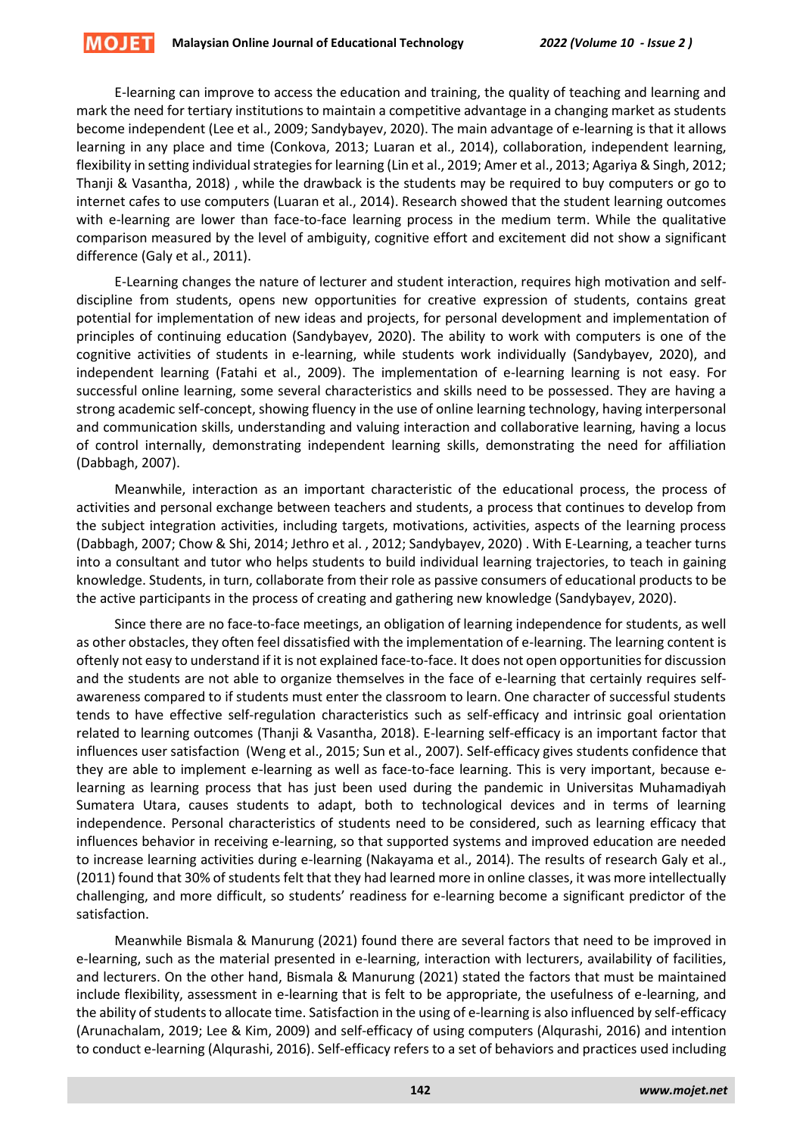E-learning can improve to access the education and training, the quality of teaching and learning and mark the need for tertiary institutions to maintain a competitive advantage in a changing market as students become independent (Lee et al., 2009; Sandybayev, 2020). The main advantage of e-learning is that it allows learning in any place and time (Conkova, 2013; Luaran et al., 2014), collaboration, independent learning, flexibility in setting individual strategies for learning (Lin et al., 2019; Amer et al., 2013; Agariya & Singh, 2012; Thanji & Vasantha, 2018) , while the drawback is the students may be required to buy computers or go to internet cafes to use computers (Luaran et al., 2014). Research showed that the student learning outcomes with e-learning are lower than face-to-face learning process in the medium term. While the qualitative comparison measured by the level of ambiguity, cognitive effort and excitement did not show a significant difference (Galy et al., 2011).

E-Learning changes the nature of lecturer and student interaction, requires high motivation and selfdiscipline from students, opens new opportunities for creative expression of students, contains great potential for implementation of new ideas and projects, for personal development and implementation of principles of continuing education (Sandybayev, 2020). The ability to work with computers is one of the cognitive activities of students in e-learning, while students work individually (Sandybayev, 2020), and independent learning (Fatahi et al., 2009). The implementation of e-learning learning is not easy. For successful online learning, some several characteristics and skills need to be possessed. They are having a strong academic self-concept, showing fluency in the use of online learning technology, having interpersonal and communication skills, understanding and valuing interaction and collaborative learning, having a locus of control internally, demonstrating independent learning skills, demonstrating the need for affiliation (Dabbagh, 2007).

Meanwhile, interaction as an important characteristic of the educational process, the process of activities and personal exchange between teachers and students, a process that continues to develop from the subject integration activities, including targets, motivations, activities, aspects of the learning process (Dabbagh, 2007; Chow & Shi, 2014; Jethro et al. , 2012; Sandybayev, 2020) . With E-Learning, a teacher turns into a consultant and tutor who helps students to build individual learning trajectories, to teach in gaining knowledge. Students, in turn, collaborate from their role as passive consumers of educational products to be the active participants in the process of creating and gathering new knowledge (Sandybayev, 2020).

Since there are no face-to-face meetings, an obligation of learning independence for students, as well as other obstacles, they often feel dissatisfied with the implementation of e-learning. The learning content is oftenly not easy to understand if it is not explained face-to-face. It does not open opportunities for discussion and the students are not able to organize themselves in the face of e-learning that certainly requires selfawareness compared to if students must enter the classroom to learn. One character of successful students tends to have effective self-regulation characteristics such as self-efficacy and intrinsic goal orientation related to learning outcomes (Thanji & Vasantha, 2018). E-learning self-efficacy is an important factor that influences user satisfaction (Weng et al., 2015; Sun et al., 2007). Self-efficacy gives students confidence that they are able to implement e-learning as well as face-to-face learning. This is very important, because elearning as learning process that has just been used during the pandemic in Universitas Muhamadiyah Sumatera Utara, causes students to adapt, both to technological devices and in terms of learning independence. Personal characteristics of students need to be considered, such as learning efficacy that influences behavior in receiving e-learning, so that supported systems and improved education are needed to increase learning activities during e-learning (Nakayama et al., 2014). The results of research Galy et al., (2011) found that 30% of students felt that they had learned more in online classes, it was more intellectually challenging, and more difficult, so students' readiness for e-learning become a significant predictor of the satisfaction.

Meanwhile Bismala & Manurung (2021) found there are several factors that need to be improved in e-learning, such as the material presented in e-learning, interaction with lecturers, availability of facilities, and lecturers. On the other hand, Bismala & Manurung (2021) stated the factors that must be maintained include flexibility, assessment in e-learning that is felt to be appropriate, the usefulness of e-learning, and the ability of students to allocate time. Satisfaction in the using of e-learning is also influenced by self-efficacy (Arunachalam, 2019; Lee & Kim, 2009) and self-efficacy of using computers (Alqurashi, 2016) and intention to conduct e-learning (Alqurashi, 2016). Self-efficacy refers to a set of behaviors and practices used including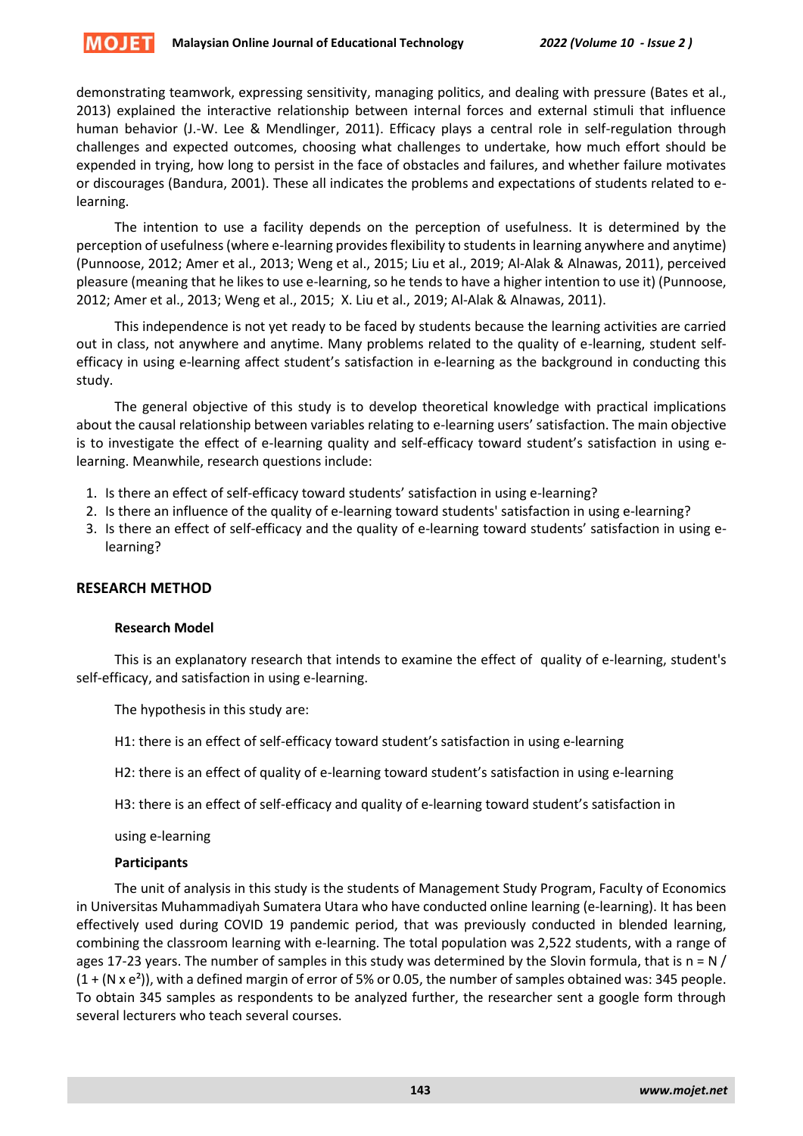

demonstrating teamwork, expressing sensitivity, managing politics, and dealing with pressure (Bates et al., 2013) explained the interactive relationship between internal forces and external stimuli that influence human behavior (J.-W. Lee & Mendlinger, 2011). Efficacy plays a central role in self-regulation through challenges and expected outcomes, choosing what challenges to undertake, how much effort should be expended in trying, how long to persist in the face of obstacles and failures, and whether failure motivates or discourages (Bandura, 2001). These all indicates the problems and expectations of students related to elearning.

The intention to use a facility depends on the perception of usefulness. It is determined by the perception of usefulness (where e-learning provides flexibility to students in learning anywhere and anytime) (Punnoose, 2012; Amer et al., 2013; Weng et al., 2015; Liu et al., 2019; Al-Alak & Alnawas, 2011), perceived pleasure (meaning that he likes to use e-learning, so he tends to have a higher intention to use it) (Punnoose, 2012; Amer et al., 2013; Weng et al., 2015; X. Liu et al., 2019; Al-Alak & Alnawas, 2011).

This independence is not yet ready to be faced by students because the learning activities are carried out in class, not anywhere and anytime. Many problems related to the quality of e-learning, student selfefficacy in using e-learning affect student's satisfaction in e-learning as the background in conducting this study.

The general objective of this study is to develop theoretical knowledge with practical implications about the causal relationship between variables relating to e-learning users' satisfaction. The main objective is to investigate the effect of e-learning quality and self-efficacy toward student's satisfaction in using elearning. Meanwhile, research questions include:

- 1. Is there an effect of self-efficacy toward students' satisfaction in using e-learning?
- 2. Is there an influence of the quality of e-learning toward students' satisfaction in using e-learning?
- 3. Is there an effect of self-efficacy and the quality of e-learning toward students' satisfaction in using elearning?

# **RESEARCH METHOD**

## **Research Model**

This is an explanatory research that intends to examine the effect of quality of e-learning, student's self-efficacy, and satisfaction in using e-learning.

The hypothesis in this study are:

H1: there is an effect of self-efficacy toward student's satisfaction in using e-learning

H2: there is an effect of quality of e-learning toward student's satisfaction in using e-learning

H3: there is an effect of self-efficacy and quality of e-learning toward student's satisfaction in

using e-learning

#### **Participants**

The unit of analysis in this study is the students of Management Study Program, Faculty of Economics in Universitas Muhammadiyah Sumatera Utara who have conducted online learning (e-learning). It has been effectively used during COVID 19 pandemic period, that was previously conducted in blended learning, combining the classroom learning with e-learning. The total population was 2,522 students, with a range of ages 17-23 years. The number of samples in this study was determined by the Slovin formula, that is  $n = N /$  $(1 + (N \times e^2))$ , with a defined margin of error of 5% or 0.05, the number of samples obtained was: 345 people. To obtain 345 samples as respondents to be analyzed further, the researcher sent a google form through several lecturers who teach several courses.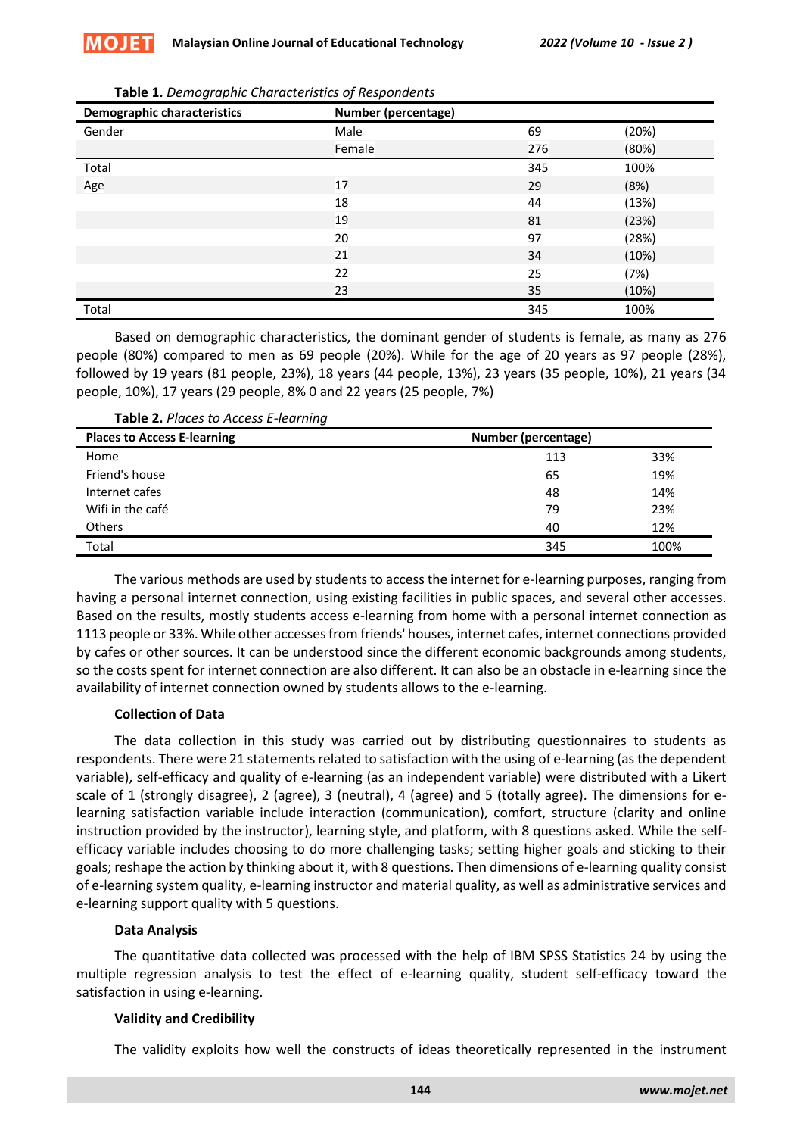| <b>Demographic characteristics</b> | <b>Number (percentage)</b> |     |       |
|------------------------------------|----------------------------|-----|-------|
| Gender                             | Male                       | 69  | (20%) |
|                                    | Female                     | 276 | (80%) |
| Total                              |                            | 345 | 100%  |
| Age                                | 17                         | 29  | (8%)  |
|                                    | 18                         | 44  | (13%) |
|                                    | 19                         | 81  | (23%) |
|                                    | 20                         | 97  | (28%) |
|                                    | 21                         | 34  | (10%) |
|                                    | 22                         | 25  | (7%)  |
|                                    | 23                         | 35  | (10%) |
| Total                              |                            | 345 | 100%  |

Based on demographic characteristics, the dominant gender of students is female, as many as 276 people (80%) compared to men as 69 people (20%). While for the age of 20 years as 97 people (28%), followed by 19 years (81 people, 23%), 18 years (44 people, 13%), 23 years (35 people, 10%), 21 years (34 people, 10%), 17 years (29 people, 8% 0 and 22 years (25 people, 7%)

| Table 2. Places to Access E-learning |  |  |
|--------------------------------------|--|--|
|--------------------------------------|--|--|

| <b>Places to Access E-learning</b> | Number (percentage) |      |  |
|------------------------------------|---------------------|------|--|
| Home                               | 113                 | 33%  |  |
| Friend's house                     | 65                  | 19%  |  |
| Internet cafes                     | 48                  | 14%  |  |
| Wifi in the café                   | 79                  | 23%  |  |
| <b>Others</b>                      | 40                  | 12%  |  |
| Total                              | 345                 | 100% |  |

The various methods are used by students to access the internet for e-learning purposes, ranging from having a personal internet connection, using existing facilities in public spaces, and several other accesses. Based on the results, mostly students access e-learning from home with a personal internet connection as 1113 people or 33%. While other accesses from friends' houses, internet cafes, internet connections provided by cafes or other sources. It can be understood since the different economic backgrounds among students, so the costs spent for internet connection are also different. It can also be an obstacle in e-learning since the availability of internet connection owned by students allows to the e-learning.

# **Collection of Data**

The data collection in this study was carried out by distributing questionnaires to students as respondents. There were 21 statements related to satisfaction with the using of e-learning (as the dependent variable), self-efficacy and quality of e-learning (as an independent variable) were distributed with a Likert scale of 1 (strongly disagree), 2 (agree), 3 (neutral), 4 (agree) and 5 (totally agree). The dimensions for elearning satisfaction variable include interaction (communication), comfort, structure (clarity and online instruction provided by the instructor), learning style, and platform, with 8 questions asked. While the selfefficacy variable includes choosing to do more challenging tasks; setting higher goals and sticking to their goals; reshape the action by thinking about it, with 8 questions. Then dimensions of e-learning quality consist of e-learning system quality, e-learning instructor and material quality, as well as administrative services and e-learning support quality with 5 questions.

# **Data Analysis**

The quantitative data collected was processed with the help of IBM SPSS Statistics 24 by using the multiple regression analysis to test the effect of e-learning quality, student self-efficacy toward the satisfaction in using e-learning.

# **Validity and Credibility**

The validity exploits how well the constructs of ideas theoretically represented in the instrument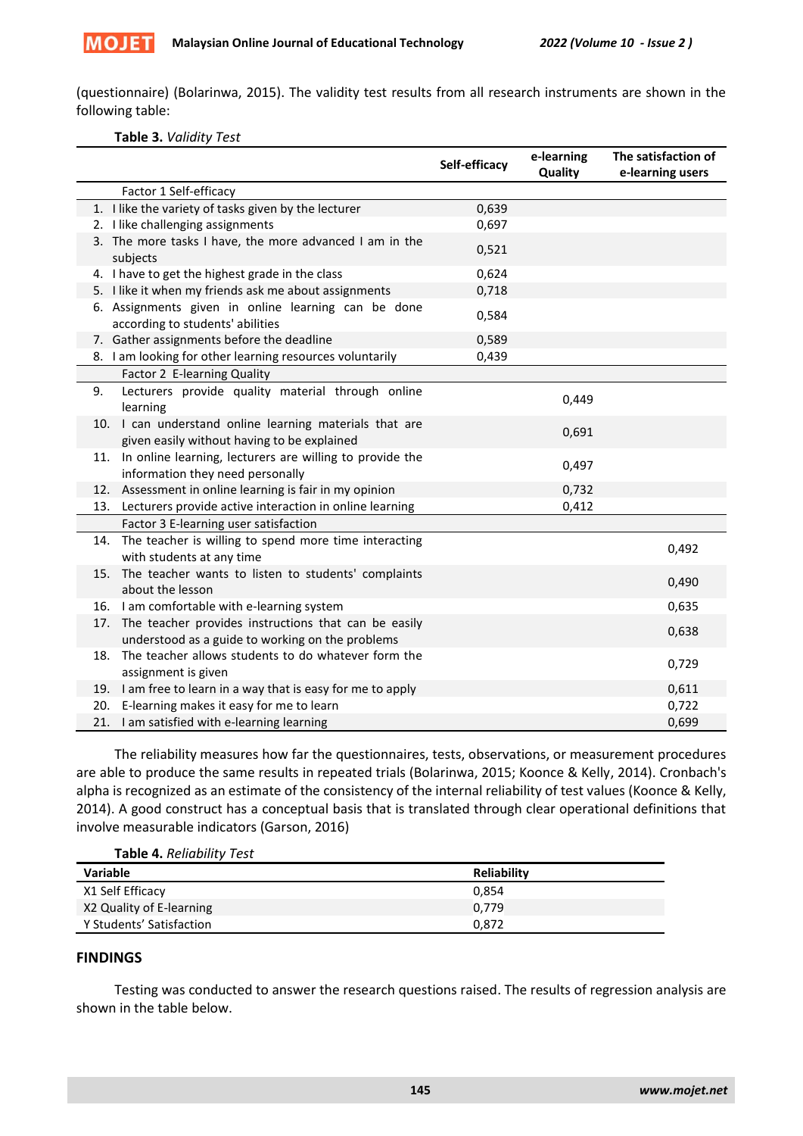

(questionnaire) (Bolarinwa, 2015). The validity test results from all research instruments are shown in the following table:

### **Table 3.** *Validity Test*

|                                                                                                                 | Self-efficacy | e-learning<br>Quality | The satisfaction of<br>e-learning users |
|-----------------------------------------------------------------------------------------------------------------|---------------|-----------------------|-----------------------------------------|
| Factor 1 Self-efficacy                                                                                          |               |                       |                                         |
| 1. I like the variety of tasks given by the lecturer                                                            | 0,639         |                       |                                         |
| 2. I like challenging assignments                                                                               | 0,697         |                       |                                         |
| 3. The more tasks I have, the more advanced I am in the<br>subjects                                             | 0,521         |                       |                                         |
| 4. I have to get the highest grade in the class                                                                 | 0,624         |                       |                                         |
| 5. I like it when my friends ask me about assignments                                                           | 0,718         |                       |                                         |
| 6. Assignments given in online learning can be done<br>according to students' abilities                         | 0,584         |                       |                                         |
| 7. Gather assignments before the deadline                                                                       | 0,589         |                       |                                         |
| 8. I am looking for other learning resources voluntarily                                                        | 0,439         |                       |                                         |
| Factor 2 E-learning Quality                                                                                     |               |                       |                                         |
| Lecturers provide quality material through online<br>9.<br>learning                                             |               | 0,449                 |                                         |
| 10. I can understand online learning materials that are<br>given easily without having to be explained          |               | 0,691                 |                                         |
| In online learning, lecturers are willing to provide the<br>11.<br>information they need personally             |               | 0,497                 |                                         |
| 12. Assessment in online learning is fair in my opinion                                                         |               | 0,732                 |                                         |
| 13. Lecturers provide active interaction in online learning                                                     |               | 0,412                 |                                         |
| Factor 3 E-learning user satisfaction                                                                           |               |                       |                                         |
| The teacher is willing to spend more time interacting<br>14.<br>with students at any time                       |               |                       | 0,492                                   |
| 15. The teacher wants to listen to students' complaints<br>about the lesson                                     |               |                       | 0,490                                   |
| 16. I am comfortable with e-learning system                                                                     |               |                       | 0,635                                   |
| The teacher provides instructions that can be easily<br>17.<br>understood as a guide to working on the problems |               |                       | 0,638                                   |
| The teacher allows students to do whatever form the<br>18.<br>assignment is given                               |               |                       | 0,729                                   |
| 19. I am free to learn in a way that is easy for me to apply                                                    |               |                       | 0,611                                   |
| 20. E-learning makes it easy for me to learn                                                                    |               |                       | 0,722                                   |
| 21. I am satisfied with e-learning learning                                                                     |               |                       | 0,699                                   |

The reliability measures how far the questionnaires, tests, observations, or measurement procedures are able to produce the same results in repeated trials (Bolarinwa, 2015; Koonce & Kelly, 2014). Cronbach's alpha is recognized as an estimate of the consistency of the internal reliability of test values (Koonce & Kelly, 2014). A good construct has a conceptual basis that is translated through clear operational definitions that involve measurable indicators (Garson, 2016)

**Table 4.** *Reliability Test*

| <b>Variable</b>          | <b>Reliability</b> |
|--------------------------|--------------------|
| X1 Self Efficacy         | 0.854              |
| X2 Quality of E-learning | 0.779              |
| Y Students' Satisfaction | 0.872              |

# **FINDINGS**

Testing was conducted to answer the research questions raised. The results of regression analysis are shown in the table below.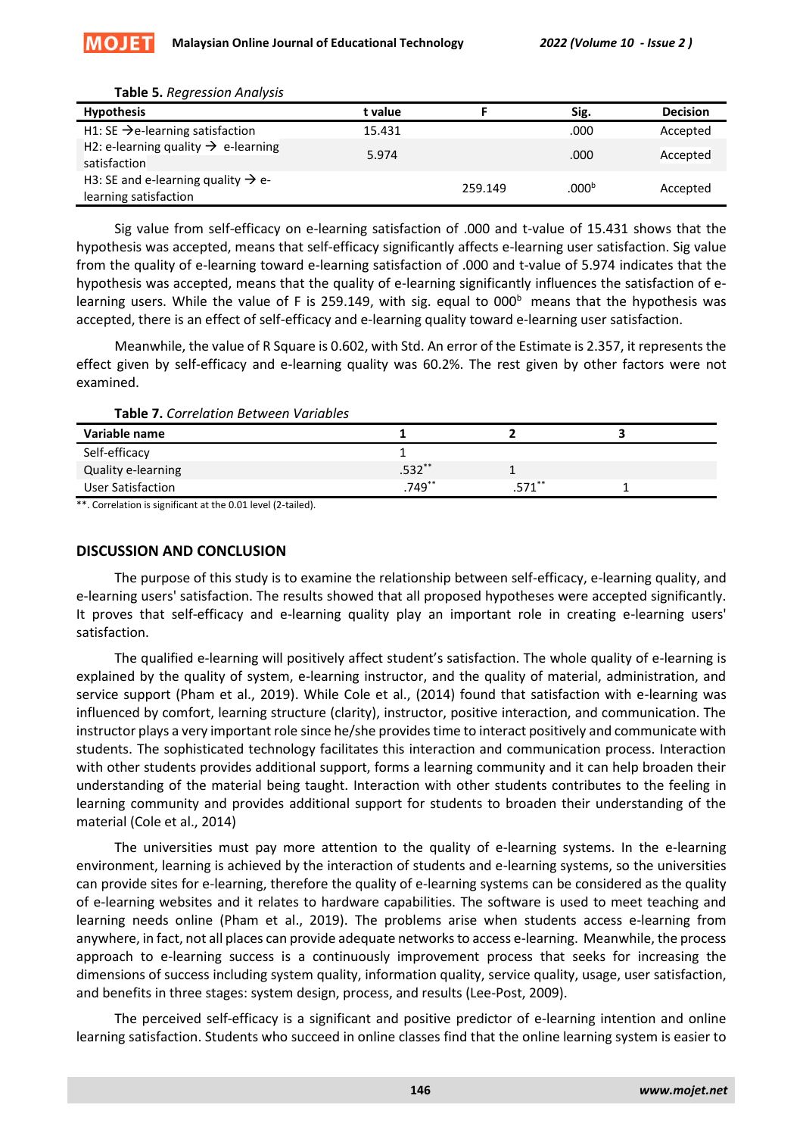| <b>Hypothesis</b>                                                       | t value |         | Sig.            | <b>Decision</b> |
|-------------------------------------------------------------------------|---------|---------|-----------------|-----------------|
| H1: SE $\rightarrow$ e-learning satisfaction                            | 15.431  |         | .000            | Accepted        |
| H2: e-learning quality $\rightarrow$ e-learning<br>satisfaction         | 5.974   |         | .000            | Accepted        |
| H3: SE and e-learning quality $\rightarrow$ e-<br>learning satisfaction |         | 259.149 | .000 $^{\rm b}$ | Accepted        |

#### **Table 5.** *Regression Analysis*

**MOJET** 

Sig value from self-efficacy on e-learning satisfaction of .000 and t-value of 15.431 shows that the hypothesis was accepted, means that self-efficacy significantly affects e-learning user satisfaction. Sig value from the quality of e-learning toward e-learning satisfaction of .000 and t-value of 5.974 indicates that the hypothesis was accepted, means that the quality of e-learning significantly influences the satisfaction of elearning users. While the value of F is 259.149, with sig. equal to  $000<sup>b</sup>$  means that the hypothesis was accepted, there is an effect of self-efficacy and e-learning quality toward e-learning user satisfaction.

Meanwhile, the value of R Square is 0.602, with Std. An error of the Estimate is 2.357, it represents the effect given by self-efficacy and e-learning quality was 60.2%. The rest given by other factors were not examined.

| Variable name      |          |         |  |
|--------------------|----------|---------|--|
| Self-efficacy      |          |         |  |
| Quality e-learning | $.532**$ |         |  |
| User Satisfaction  | .749**   | $571**$ |  |

\*\*. Correlation is significant at the 0.01 level (2-tailed).

## **DISCUSSION AND CONCLUSION**

The purpose of this study is to examine the relationship between self-efficacy, e-learning quality, and e-learning users' satisfaction. The results showed that all proposed hypotheses were accepted significantly. It proves that self-efficacy and e-learning quality play an important role in creating e-learning users' satisfaction.

The qualified e-learning will positively affect student's satisfaction. The whole quality of e-learning is explained by the quality of system, e-learning instructor, and the quality of material, administration, and service support (Pham et al., 2019). While Cole et al., (2014) found that satisfaction with e-learning was influenced by comfort, learning structure (clarity), instructor, positive interaction, and communication. The instructor plays a very important role since he/she provides time to interact positively and communicate with students. The sophisticated technology facilitates this interaction and communication process. Interaction with other students provides additional support, forms a learning community and it can help broaden their understanding of the material being taught. Interaction with other students contributes to the feeling in learning community and provides additional support for students to broaden their understanding of the material (Cole et al., 2014)

The universities must pay more attention to the quality of e-learning systems. In the e-learning environment, learning is achieved by the interaction of students and e-learning systems, so the universities can provide sites for e-learning, therefore the quality of e-learning systems can be considered as the quality of e-learning websites and it relates to hardware capabilities. The software is used to meet teaching and learning needs online (Pham et al., 2019). The problems arise when students access e-learning from anywhere, in fact, not all places can provide adequate networks to access e-learning. Meanwhile, the process approach to e-learning success is a continuously improvement process that seeks for increasing the dimensions of success including system quality, information quality, service quality, usage, user satisfaction, and benefits in three stages: system design, process, and results (Lee-Post, 2009).

The perceived self-efficacy is a significant and positive predictor of e-learning intention and online learning satisfaction. Students who succeed in online classes find that the online learning system is easier to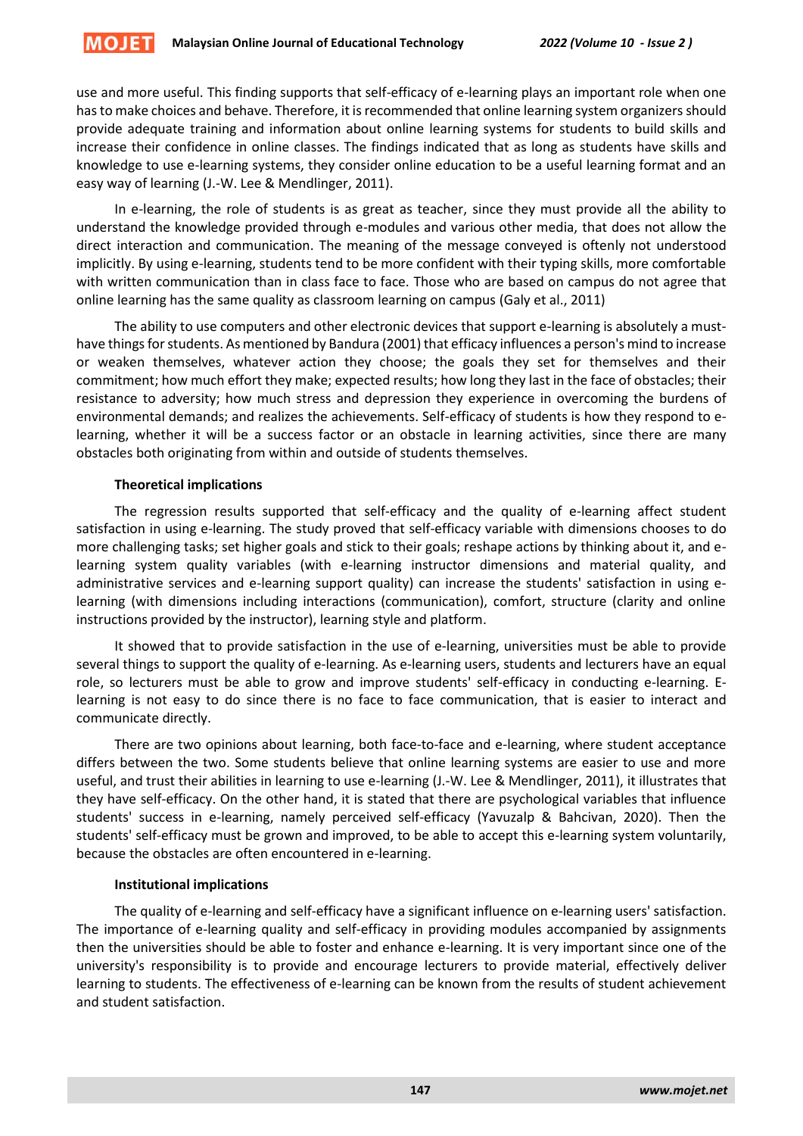

use and more useful. This finding supports that self-efficacy of e-learning plays an important role when one has to make choices and behave. Therefore, it is recommended that online learning system organizers should provide adequate training and information about online learning systems for students to build skills and increase their confidence in online classes. The findings indicated that as long as students have skills and knowledge to use e-learning systems, they consider online education to be a useful learning format and an easy way of learning (J.-W. Lee & Mendlinger, 2011).

In e-learning, the role of students is as great as teacher, since they must provide all the ability to understand the knowledge provided through e-modules and various other media, that does not allow the direct interaction and communication. The meaning of the message conveyed is oftenly not understood implicitly. By using e-learning, students tend to be more confident with their typing skills, more comfortable with written communication than in class face to face. Those who are based on campus do not agree that online learning has the same quality as classroom learning on campus (Galy et al., 2011)

The ability to use computers and other electronic devices that support e-learning is absolutely a musthave things for students. As mentioned by Bandura (2001) that efficacy influences a person's mind to increase or weaken themselves, whatever action they choose; the goals they set for themselves and their commitment; how much effort they make; expected results; how long they last in the face of obstacles; their resistance to adversity; how much stress and depression they experience in overcoming the burdens of environmental demands; and realizes the achievements. Self-efficacy of students is how they respond to elearning, whether it will be a success factor or an obstacle in learning activities, since there are many obstacles both originating from within and outside of students themselves.

## **Theoretical implications**

The regression results supported that self-efficacy and the quality of e-learning affect student satisfaction in using e-learning. The study proved that self-efficacy variable with dimensions chooses to do more challenging tasks; set higher goals and stick to their goals; reshape actions by thinking about it, and elearning system quality variables (with e-learning instructor dimensions and material quality, and administrative services and e-learning support quality) can increase the students' satisfaction in using elearning (with dimensions including interactions (communication), comfort, structure (clarity and online instructions provided by the instructor), learning style and platform.

It showed that to provide satisfaction in the use of e-learning, universities must be able to provide several things to support the quality of e-learning. As e-learning users, students and lecturers have an equal role, so lecturers must be able to grow and improve students' self-efficacy in conducting e-learning. Elearning is not easy to do since there is no face to face communication, that is easier to interact and communicate directly.

There are two opinions about learning, both face-to-face and e-learning, where student acceptance differs between the two. Some students believe that online learning systems are easier to use and more useful, and trust their abilities in learning to use e-learning (J.-W. Lee & Mendlinger, 2011), it illustrates that they have self-efficacy. On the other hand, it is stated that there are psychological variables that influence students' success in e-learning, namely perceived self-efficacy (Yavuzalp & Bahcivan, 2020). Then the students' self-efficacy must be grown and improved, to be able to accept this e-learning system voluntarily, because the obstacles are often encountered in e-learning.

# **Institutional implications**

The quality of e-learning and self-efficacy have a significant influence on e-learning users' satisfaction. The importance of e-learning quality and self-efficacy in providing modules accompanied by assignments then the universities should be able to foster and enhance e-learning. It is very important since one of the university's responsibility is to provide and encourage lecturers to provide material, effectively deliver learning to students. The effectiveness of e-learning can be known from the results of student achievement and student satisfaction.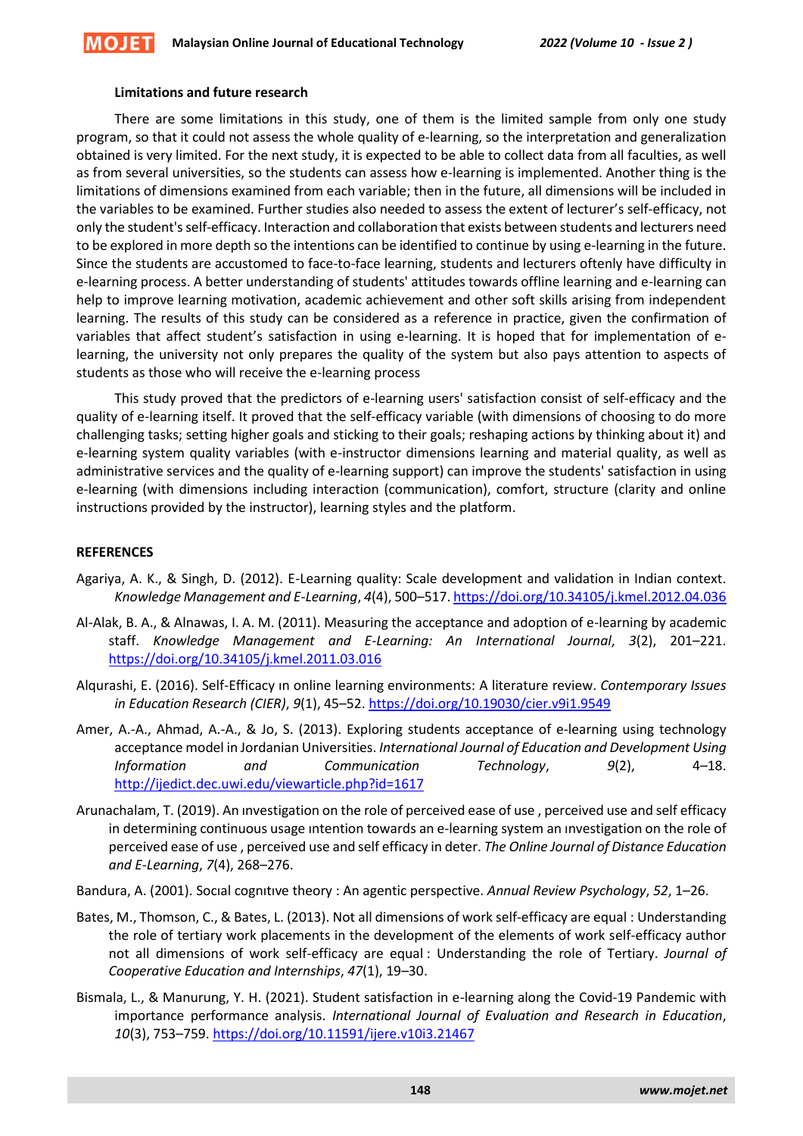#### **Limitations and future research**

There are some limitations in this study, one of them is the limited sample from only one study program, so that it could not assess the whole quality of e-learning, so the interpretation and generalization obtained is very limited. For the next study, it is expected to be able to collect data from all faculties, as well as from several universities, so the students can assess how e-learning is implemented. Another thing is the limitations of dimensions examined from each variable; then in the future, all dimensions will be included in the variables to be examined. Further studies also needed to assess the extent of lecturer's self-efficacy, not only the student's self-efficacy. Interaction and collaboration that exists between students and lecturers need to be explored in more depth so the intentions can be identified to continue by using e-learning in the future. Since the students are accustomed to face-to-face learning, students and lecturers oftenly have difficulty in e-learning process. A better understanding of students' attitudes towards offline learning and e-learning can help to improve learning motivation, academic achievement and other soft skills arising from independent learning. The results of this study can be considered as a reference in practice, given the confirmation of variables that affect student's satisfaction in using e-learning. It is hoped that for implementation of elearning, the university not only prepares the quality of the system but also pays attention to aspects of students as those who will receive the e-learning process

This study proved that the predictors of e-learning users' satisfaction consist of self-efficacy and the quality of e-learning itself. It proved that the self-efficacy variable (with dimensions of choosing to do more challenging tasks; setting higher goals and sticking to their goals; reshaping actions by thinking about it) and e-learning system quality variables (with e-instructor dimensions learning and material quality, as well as administrative services and the quality of e-learning support) can improve the students' satisfaction in using e-learning (with dimensions including interaction (communication), comfort, structure (clarity and online instructions provided by the instructor), learning styles and the platform.

#### **REFERENCES**

- Agariya, A. K., & Singh, D. (2012). E-Learning quality: Scale development and validation in Indian context. *Knowledge Management and E-Learning*, *4*(4), 500–517[. https://doi.org/10.34105/j.kmel.2012.04.036](https://doi.org/10.34105/j.kmel.2012.04.036)
- Al-Alak, B. A., & Alnawas, I. A. M. (2011). Measuring the acceptance and adoption of e-learning by academic staff. *Knowledge Management and E-Learning: An International Journal*, *3*(2), 201–221. <https://doi.org/10.34105/j.kmel.2011.03.016>
- Alqurashi, E. (2016). Self-Efficacy ın online learning environments: A literature review. *Contemporary Issues in Education Research (CIER)*, *9*(1), 45–52[. https://doi.org/10.19030/cier.v9i1.9549](https://doi.org/10.19030/cier.v9i1.9549)
- Amer, A.-A., Ahmad, A.-A., & Jo, S. (2013). Exploring students acceptance of e-learning using technology acceptance model in Jordanian Universities. *International Journal of Education and Development Using Information and Communication Technology*, *9*(2), 4–18. <http://ijedict.dec.uwi.edu/viewarticle.php?id=1617>
- Arunachalam, T. (2019). An ınvestigation on the role of perceived ease of use , perceived use and self efficacy in determining continuous usage ıntention towards an e-learning system an ınvestigation on the role of perceived ease of use , perceived use and self efficacy in deter. *The Online Journal of Distance Education and E-Learning*, *7*(4), 268–276.
- Bandura, A. (2001). Socıal cognıtıve theory : An agentic perspective. *Annual Review Psychology*, *52*, 1–26.
- Bates, M., Thomson, C., & Bates, L. (2013). Not all dimensions of work self-efficacy are equal : Understanding the role of tertiary work placements in the development of the elements of work self-efficacy author not all dimensions of work self-efficacy are equal : Understanding the role of Tertiary. *Journal of Cooperative Education and Internships*, *47*(1), 19–30.
- Bismala, L., & Manurung, Y. H. (2021). Student satisfaction in e-learning along the Covid-19 Pandemic with importance performance analysis. *International Journal of Evaluation and Research in Education*, *10*(3), 753–759.<https://doi.org/10.11591/ijere.v10i3.21467>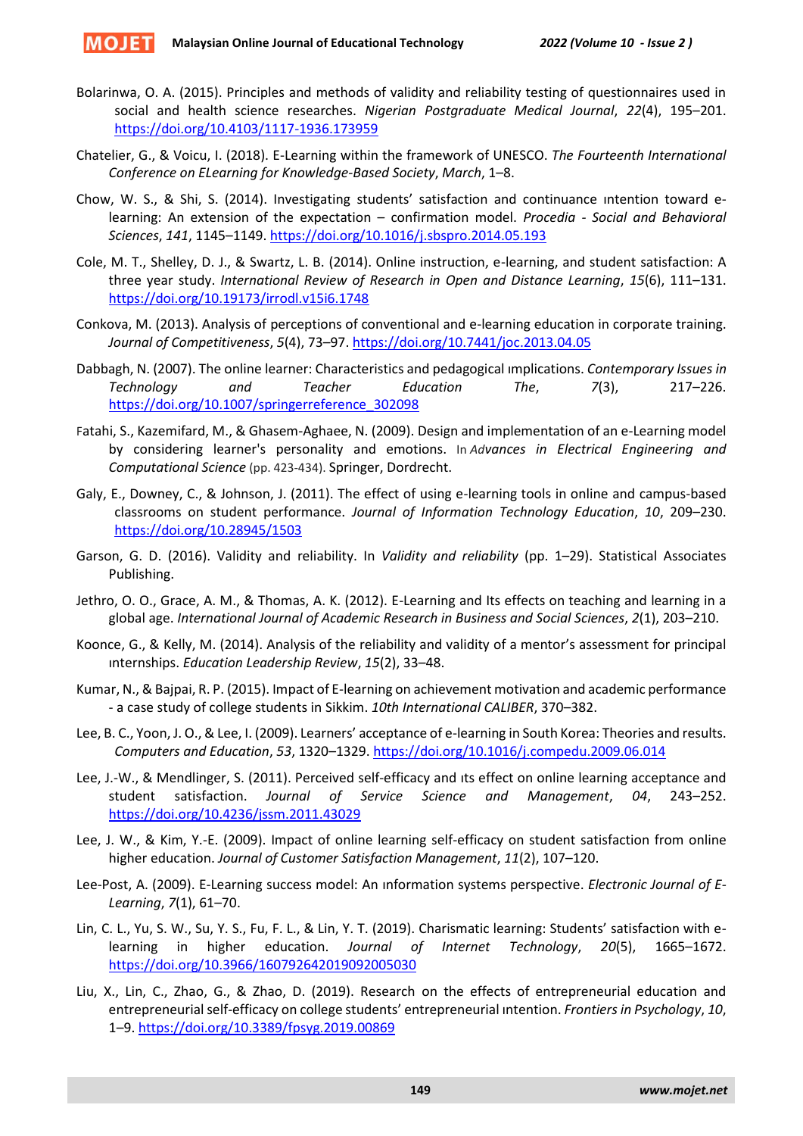- Bolarinwa, O. A. (2015). Principles and methods of validity and reliability testing of questionnaires used in social and health science researches. *Nigerian Postgraduate Medical Journal*, *22*(4), 195–201. <https://doi.org/10.4103/1117-1936.173959>
- Chatelier, G., & Voicu, I. (2018). E-Learning within the framework of UNESCO. *The Fourteenth International Conference on ELearning for Knowledge-Based Society*, *March*, 1–8.
- Chow, W. S., & Shi, S. (2014). Investigating students' satisfaction and continuance ıntention toward elearning: An extension of the expectation – confirmation model. *Procedia - Social and Behavioral Sciences*, *141*, 1145–1149.<https://doi.org/10.1016/j.sbspro.2014.05.193>
- Cole, M. T., Shelley, D. J., & Swartz, L. B. (2014). Online instruction, e-learning, and student satisfaction: A three year study. *International Review of Research in Open and Distance Learning*, *15*(6), 111–131. <https://doi.org/10.19173/irrodl.v15i6.1748>
- Conkova, M. (2013). Analysis of perceptions of conventional and e-learning education in corporate training. *Journal of Competitiveness*, *5*(4), 73–97[. https://doi.org/10.7441/joc.2013.04.05](https://doi.org/10.7441/joc.2013.04.05)
- Dabbagh, N. (2007). The online learner: Characteristics and pedagogical ımplications. *Contemporary Issues in Technology and Teacher Education The*, *7*(3), 217–226. [https://doi.org/10.1007/springerreference\\_302098](https://doi.org/10.1007/springerreference_302098)
- Fatahi, S., Kazemifard, M., & Ghasem-Aghaee, N. (2009). Design and implementation of an e-Learning model by considering learner's personality and emotions. In *Advances in Electrical Engineering and Computational Science* (pp. 423-434). Springer, Dordrecht.
- Galy, E., Downey, C., & Johnson, J. (2011). The effect of using e-learning tools in online and campus-based classrooms on student performance. *Journal of Information Technology Education*, *10*, 209–230. <https://doi.org/10.28945/1503>
- Garson, G. D. (2016). Validity and reliability. In *Validity and reliability* (pp. 1–29). Statistical Associates Publishing.
- Jethro, O. O., Grace, A. M., & Thomas, A. K. (2012). E-Learning and Its effects on teaching and learning in a global age. *International Journal of Academic Research in Business and Social Sciences*, *2*(1), 203–210.
- Koonce, G., & Kelly, M. (2014). Analysis of the reliability and validity of a mentor's assessment for principal ınternships. *Education Leadership Review*, *15*(2), 33–48.
- Kumar, N., & Bajpai, R. P. (2015). Impact of E-learning on achievement motivation and academic performance - a case study of college students in Sikkim. *10th International CALIBER*, 370–382.
- Lee, B. C., Yoon, J. O., & Lee, I. (2009). Learners' acceptance of e-learning in South Korea: Theories and results. *Computers and Education*, *53*, 1320–1329. <https://doi.org/10.1016/j.compedu.2009.06.014>
- Lee, J.-W., & Mendlinger, S. (2011). Perceived self-efficacy and ıts effect on online learning acceptance and student satisfaction. *Journal of Service Science and Management*, *04*, 243–252. <https://doi.org/10.4236/jssm.2011.43029>
- Lee, J. W., & Kim, Y.-E. (2009). Impact of online learning self-efficacy on student satisfaction from online higher education. *Journal of Customer Satisfaction Management*, *11*(2), 107–120.
- Lee-Post, A. (2009). E-Learning success model: An ınformation systems perspective. *Electronic Journal of E-Learning*, *7*(1), 61–70.
- Lin, C. L., Yu, S. W., Su, Y. S., Fu, F. L., & Lin, Y. T. (2019). Charismatic learning: Students' satisfaction with elearning in higher education. *Journal of Internet Technology*, *20*(5), 1665–1672. <https://doi.org/10.3966/160792642019092005030>
- Liu, X., Lin, C., Zhao, G., & Zhao, D. (2019). Research on the effects of entrepreneurial education and entrepreneurial self-efficacy on college students' entrepreneurial ıntention. *Frontiers in Psychology*, *10*, 1–9[. https://doi.org/10.3389/fpsyg.2019.00869](https://doi.org/10.3389/fpsyg.2019.00869)